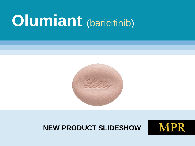# **Olumiant** (baricitinib)



#### **NEW PRODUCT SLIDESHOW**

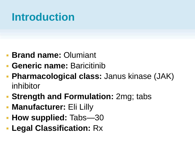### **Introduction**

- **Brand name:** Olumiant
- **Generic name:** Baricitinib
- **Pharmacological class:** Janus kinase (JAK) inhibitor
- **Strength and Formulation:** 2mg; tabs
- **Manufacturer:** Eli Lilly
- **How supplied:** Tabs—30
- **Legal Classification:** Rx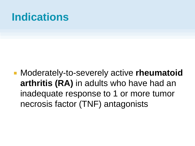### **Indications**

 Moderately-to-severely active **rheumatoid arthritis (RA)** in adults who have had an inadequate response to 1 or more tumor necrosis factor (TNF) antagonists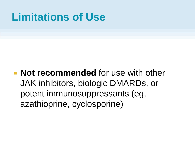### **Limitations of Use**

#### **Not recommended** for use with other JAK inhibitors, biologic DMARDs, or potent immunosuppressants (eg, azathioprine, cyclosporine)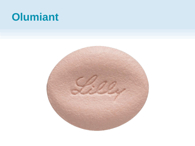## **Olumiant**

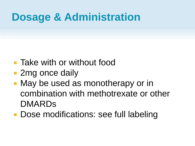### **Dosage & Administration**

- **Take with or without food**
- 2mg once daily
- **Nay be used as monotherapy or in** combination with methotrexate or other DMARDs
- **Dose modifications: see full labeling**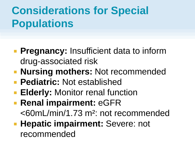# **Considerations for Special Populations**

- **Pregnancy:** Insufficient data to inform drug-associated risk
- **Nursing mothers:** Not recommended
- **Pediatric:** Not established
- **Elderly: Monitor renal function**
- **Renal impairment: eGFR** <60mL/min/1.73 m²: not recommended
- **Hepatic impairment: Severe: not** recommended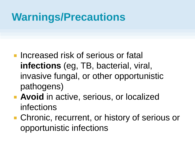- **Increased risk of serious or fatal infections** (eg, TB, bacterial, viral, invasive fungal, or other opportunistic pathogens)
- **Avoid** in active, serious, or localized infections
- **Chronic, recurrent, or history of serious or** opportunistic infections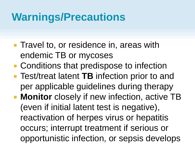- **Travel to, or residence in, areas with** endemic TB or mycoses
- Conditions that predispose to infection
- Test/treat latent TB infection prior to and per applicable guidelines during therapy
- **Monitor** closely if new infection, active TB (even if initial latent test is negative), reactivation of herpes virus or hepatitis occurs; interrupt treatment if serious or opportunistic infection, or sepsis develops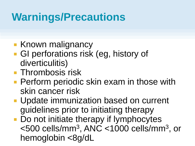- **Known malignancy**
- GI perforations risk (eg, history of diverticulitis)
- **Thrombosis risk**
- **Perform periodic skin exam in those with** skin cancer risk
- **Update immunization based on current** guidelines prior to initiating therapy
- Do not initiate therapy if lymphocytes <500 cells/mm<sup>3</sup> , ANC <1000 cells/mm<sup>3</sup> , or hemoglobin <8g/dL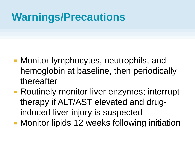- **Monitor lymphocytes, neutrophils, and** hemoglobin at baseline, then periodically thereafter
- **Routinely monitor liver enzymes; interrupt** therapy if ALT/AST elevated and druginduced liver injury is suspected
- **Monitor lipids 12 weeks following initiation**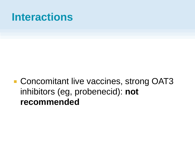### **Interactions**

■ Concomitant live vaccines, strong OAT3 inhibitors (eg, probenecid): **not recommended**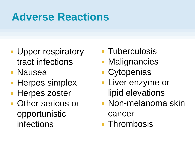## **Adverse Reactions**

- **Upper respiratory** tract infections
- Nausea
- **Herpes simplex**
- **Herpes zoster**
- **Other serious or** opportunistic infections
- **Tuberculosis**
- **Malignancies**
- **Cytopenias**
- **Liver enzyme or** lipid elevations
- **Non-melanoma skin** cancer
- **Thrombosis**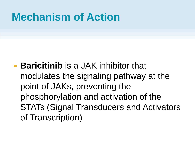### **Mechanism of Action**

**Baricitinib** is a JAK inhibitor that modulates the signaling pathway at the point of JAKs, preventing the phosphorylation and activation of the STATs (Signal Transducers and Activators of Transcription)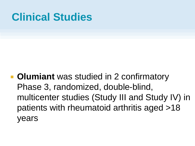**• Olumiant** was studied in 2 confirmatory Phase 3, randomized, double-blind, multicenter studies (Study III and Study IV) in patients with rheumatoid arthritis aged >18 years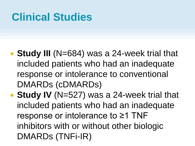- **Study III** (N=684) was a 24-week trial that included patients who had an inadequate response or intolerance to conventional DMARDs (cDMARDs)
- **Study IV** (N=527) was a 24-week trial that included patients who had an inadequate response or intolerance to ≥1 TNF inhibitors with or without other biologic DMARDs (TNFi-IR)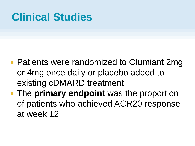- **Patients were randomized to Olumiant 2mg** or 4mg once daily or placebo added to existing cDMARD treatment
- **The primary endpoint** was the proportion of patients who achieved ACR20 response at week 12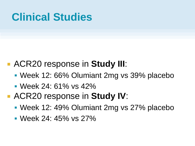- ACR20 response in **Study III**:
	- Week 12: 66% Olumiant 2mg vs 39% placebo
	- Week 24: 61% vs 42%
- ACR20 response in **Study IV**:
	- Week 12: 49% Olumiant 2mg vs 27% placebo
	- Week 24: 45% vs 27%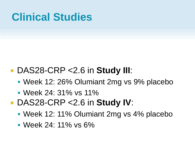#### DAS28-CRP <2.6 in **Study III**:

- Week 12: 26% Olumiant 2mg vs 9% placebo
- Week 24: 31% vs 11%
- DAS28-CRP <2.6 in **Study IV**:
	- Week 12: 11% Olumiant 2mg vs 4% placebo
	- Week 24: 11% vs 6%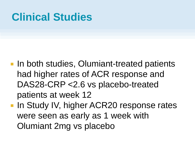- **In both studies, Olumiant-treated patients** had higher rates of ACR response and DAS28-CRP <2.6 vs placebo-treated patients at week 12
- **In Study IV, higher ACR20 response rates** were seen as early as 1 week with Olumiant 2mg vs placebo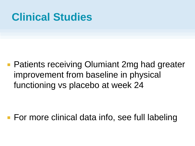**Patients receiving Olumiant 2mg had greater** improvement from baseline in physical functioning vs placebo at week 24

■ For more clinical data info, see full labeling